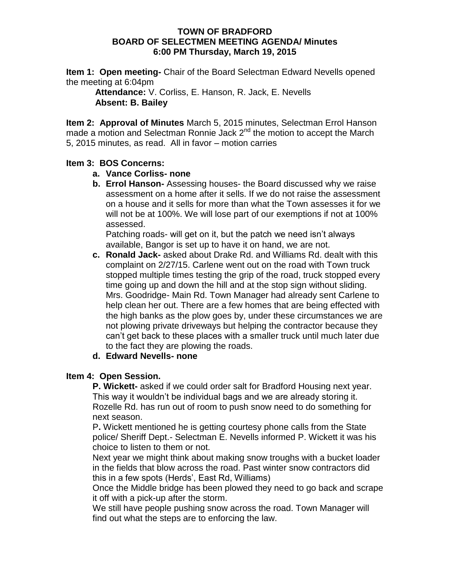#### **TOWN OF BRADFORD BOARD OF SELECTMEN MEETING AGENDA/ Minutes 6:00 PM Thursday, March 19, 2015**

**Item 1: Open meeting-** Chair of the Board Selectman Edward Nevells opened the meeting at 6:04pm

**Attendance:** V. Corliss, E. Hanson, R. Jack, E. Nevells **Absent: B. Bailey**

**Item 2: Approval of Minutes** March 5, 2015 minutes, Selectman Errol Hanson made a motion and Selectman Ronnie Jack  $2^{nd}$  the motion to accept the March 5, 2015 minutes, as read. All in favor – motion carries

### **Item 3: BOS Concerns:**

- **a. Vance Corliss- none**
- **b. Errol Hanson-** Assessing houses- the Board discussed why we raise assessment on a home after it sells. If we do not raise the assessment on a house and it sells for more than what the Town assesses it for we will not be at 100%. We will lose part of our exemptions if not at 100% assessed.

Patching roads- will get on it, but the patch we need isn't always available, Bangor is set up to have it on hand, we are not.

**c. Ronald Jack-** asked about Drake Rd. and Williams Rd. dealt with this complaint on 2/27/15. Carlene went out on the road with Town truck stopped multiple times testing the grip of the road, truck stopped every time going up and down the hill and at the stop sign without sliding. Mrs. Goodridge- Main Rd. Town Manager had already sent Carlene to help clean her out. There are a few homes that are being effected with the high banks as the plow goes by, under these circumstances we are not plowing private driveways but helping the contractor because they can't get back to these places with a smaller truck until much later due to the fact they are plowing the roads.

## **d. Edward Nevells- none**

### **Item 4: Open Session.**

**P. Wickett-** asked if we could order salt for Bradford Housing next year. This way it wouldn't be individual bags and we are already storing it. Rozelle Rd. has run out of room to push snow need to do something for next season.

P**.** Wickett mentioned he is getting courtesy phone calls from the State police/ Sheriff Dept.- Selectman E. Nevells informed P. Wickett it was his choice to listen to them or not.

Next year we might think about making snow troughs with a bucket loader in the fields that blow across the road. Past winter snow contractors did this in a few spots (Herds', East Rd, Williams)

Once the Middle bridge has been plowed they need to go back and scrape it off with a pick-up after the storm.

We still have people pushing snow across the road. Town Manager will find out what the steps are to enforcing the law.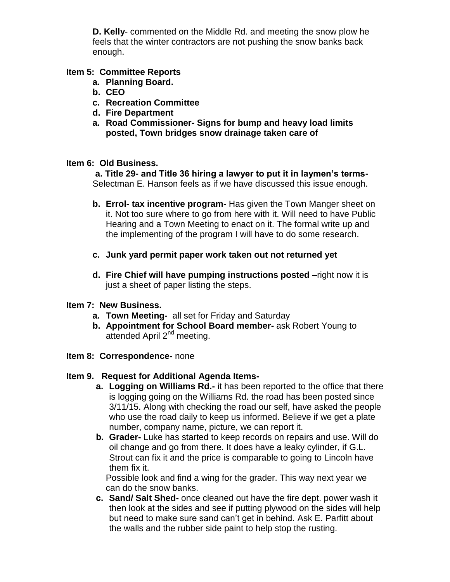**D. Kelly**- commented on the Middle Rd. and meeting the snow plow he feels that the winter contractors are not pushing the snow banks back enough.

## **Item 5: Committee Reports**

- **a. Planning Board.**
- **b. CEO**
- **c. Recreation Committee**
- **d. Fire Department**
- **a. Road Commissioner- Signs for bump and heavy load limits posted, Town bridges snow drainage taken care of**

### **Item 6: Old Business.**

**a. Title 29- and Title 36 hiring a lawyer to put it in laymen's terms-**Selectman E. Hanson feels as if we have discussed this issue enough.

- **b. Errol- tax incentive program-** Has given the Town Manger sheet on it. Not too sure where to go from here with it. Will need to have Public Hearing and a Town Meeting to enact on it. The formal write up and the implementing of the program I will have to do some research.
- **c. Junk yard permit paper work taken out not returned yet**
- **d. Fire Chief will have pumping instructions posted –**right now it is just a sheet of paper listing the steps.

### **Item 7: New Business.**

- **a. Town Meeting-** all set for Friday and Saturday
- **b. Appointment for School Board member-** ask Robert Young to attended April 2nd meeting.
- **Item 8: Correspondence-** none

# **Item 9. Request for Additional Agenda Items-**

- **a. Logging on Williams Rd.-** it has been reported to the office that there is logging going on the Williams Rd. the road has been posted since 3/11/15. Along with checking the road our self, have asked the people who use the road daily to keep us informed. Believe if we get a plate number, company name, picture, we can report it.
- **b. Grader-** Luke has started to keep records on repairs and use. Will do oil change and go from there. It does have a leaky cylinder, if G.L. Strout can fix it and the price is comparable to going to Lincoln have them fix it.

Possible look and find a wing for the grader. This way next year we can do the snow banks.

**c. Sand/ Salt Shed-** once cleaned out have the fire dept. power wash it then look at the sides and see if putting plywood on the sides will help but need to make sure sand can't get in behind. Ask E. Parfitt about the walls and the rubber side paint to help stop the rusting.